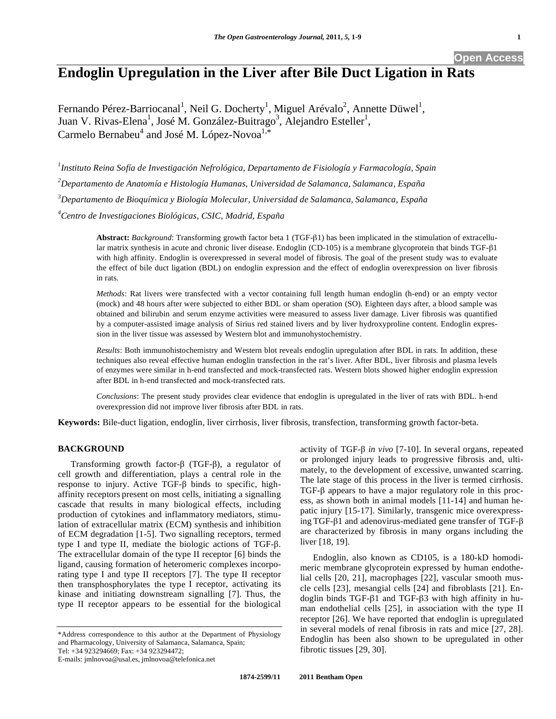# **Open Access**

# **Endoglin Upregulation in the Liver after Bile Duct Ligation in Rats**

Fernando Pérez-Barriocanal<sup>1</sup>, Neil G. Docherty<sup>1</sup>, Miguel Arévalo<sup>2</sup>, Annette Düwel<sup>1</sup>, Juan V. Rivas-Elena<sup>1</sup>, José M. González-Buitrago<sup>3</sup>, Alejandro Esteller<sup>1</sup>, Carmelo Bernabeu<sup>4</sup> and José M. López-Novoa<sup>1,\*</sup>

 *Instituto Reina Sofía de Investigación Nefrológica, Departamento de Fisiología y Farmacología, Spain Departamento de Anatomía e Histología Humanas, Universidad de Salamanca, Salamanca, España Departamento de Bioquímica y Biología Molecular, Universidad de Salamanca, Salamanca, España Centro de Investigaciones Biológicas, CSIC, Madrid, España* 

> **Abstract:** *Background*: Transforming growth factor beta 1 (TGF-1) has been implicated in the stimulation of extracellular matrix synthesis in acute and chronic liver disease. Endoglin (CD-105) is a membrane glycoprotein that binds TGF- $\beta$ 1 with high affinity. Endoglin is overexpressed in several model of fibrosis. The goal of the present study was to evaluate the effect of bile duct ligation (BDL) on endoglin expression and the effect of endoglin overexpression on liver fibrosis in rats.

> *Methods*: Rat livers were transfected with a vector containing full length human endoglin (h-end) or an empty vector (mock) and 48 hours after were subjected to either BDL or sham operation (SO). Eighteen days after, a blood sample was obtained and bilirubin and serum enzyme activities were measured to assess liver damage. Liver fibrosis was quantified by a computer-assisted image analysis of Sirius red stained livers and by liver hydroxyproline content. Endoglin expression in the liver tissue was assessed by Western blot and immunohystochemistry.

> *Results*: Both immunohistochemistry and Western blot reveals endoglin upregulation after BDL in rats. In addition, these techniques also reveal effective human endoglin transfection in the rat's liver. After BDL, liver fibrosis and plasma levels of enzymes were similar in h-end transfected and mock-transfected rats. Western blots showed higher endoglin expression after BDL in h-end transfected and mock-transfected rats.

> *Conclusions*: The present study provides clear evidence that endoglin is upregulated in the liver of rats with BDL. h-end overexpression did not improve liver fibrosis after BDL in rats.

**Keywords:** Bile-duct ligation, endoglin, liver cirrhosis, liver fibrosis, transfection, transforming growth factor-beta.

# **BACKGROUND**

Transforming growth factor- $\beta$  (TGF- $\beta$ ), a regulator of cell growth and differentiation, plays a central role in the response to injury. Active TGF- $\beta$  binds to specific, highaffinity receptors present on most cells, initiating a signalling cascade that results in many biological effects, including production of cytokines and inflammatory mediators, stimulation of extracellular matrix (ECM) synthesis and inhibition of ECM degradation [1-5]. Two signalling receptors, termed type I and type II, mediate the biologic actions of TGF- $\beta$ . The extracellular domain of the type II receptor [6] binds the ligand, causing formation of heteromeric complexes incorporating type I and type II receptors [7]. The type II receptor then transphosphorylates the type I receptor, activating its kinase and initiating downstream signalling [7]. Thus, the type II receptor appears to be essential for the biological

\*Address correspondence to this author at the Department of Physiology and Pharmacology, University of Salamanca, Salamanca, Spain;

Tel: +34 923294669; Fax: +34 923294472;

E-mails: jmlnovoa@usal.es, jmlnovoa@telefonica.net

activity of TGF- $\beta$  in vivo [7-10]. In several organs, repeated or prolonged injury leads to progressive fibrosis and, ultimately, to the development of excessive, unwanted scarring. The late stage of this process in the liver is termed cirrhosis.  $TGF-\beta$  appears to have a major regulatory role in this process, as shown both in animal models [11-14] and human hepatic injury [15-17]. Similarly, transgenic mice overexpressing TGF- $\beta$ 1 and adenovirus-mediated gene transfer of TGF- $\beta$ are characterized by fibrosis in many organs including the liver [18, 19].

 Endoglin, also known as CD105, is a 180-kD homodimeric membrane glycoprotein expressed by human endothelial cells [20, 21], macrophages [22], vascular smooth muscle cells [23], mesangial cells [24] and fibroblasts [21]. Endoglin binds TGF- $\beta$ 1 and TGF- $\beta$ 3 with high affinity in human endothelial cells [25], in association with the type II receptor [26]. We have reported that endoglin is upregulated in several models of renal fibrosis in rats and mice [27, 28]. Endoglin has been also shown to be upregulated in other fibrotic tissues [29, 30].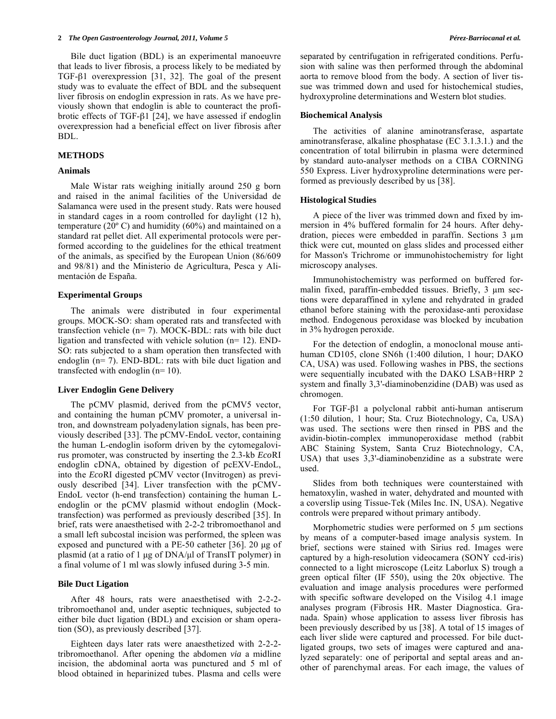Bile duct ligation (BDL) is an experimental manoeuvre that leads to liver fibrosis, a process likely to be mediated by TGF- $\beta$ 1 overexpression [31, 32]. The goal of the present study was to evaluate the effect of BDL and the subsequent liver fibrosis on endoglin expression in rats. As we have previously shown that endoglin is able to counteract the profibrotic effects of TGF- $\beta$ 1 [24], we have assessed if endoglin overexpression had a beneficial effect on liver fibrosis after BDL.

#### **METHODS**

# **Animals**

 Male Wistar rats weighing initially around 250 g born and raised in the animal facilities of the Universidad de Salamanca were used in the present study. Rats were housed in standard cages in a room controlled for daylight (12 h), temperature (20 $^{\circ}$  C) and humidity (60%) and maintained on a standard rat pellet diet. All experimental protocols were performed according to the guidelines for the ethical treatment of the animals, as specified by the European Union (86/609 and 98/81) and the Ministerio de Agricultura, Pesca y Alimentación de España.

## **Experimental Groups**

 The animals were distributed in four experimental groups. MOCK-SO: sham operated rats and transfected with transfection vehicle (n= 7). MOCK-BDL: rats with bile duct ligation and transfected with vehicle solution (n= 12). END-SO: rats subjected to a sham operation then transfected with endoglin (n= 7). END-BDL: rats with bile duct ligation and transfected with endoglin (n= 10).

## **Liver Endoglin Gene Delivery**

 The pCMV plasmid, derived from the pCMV5 vector, and containing the human pCMV promoter, a universal intron, and downstream polyadenylation signals, has been previously described [33]. The pCMV-EndoL vector, containing the human L-endoglin isoform driven by the cytomegalovirus promoter, was constructed by inserting the 2.3-kb *Eco*RI endoglin cDNA, obtained by digestion of pcEXV-EndoL, into the *Eco*RI digested pCMV vector (Invitrogen) as previously described [34]. Liver transfection with the pCMV-EndoL vector (h-end transfection) containing the human Lendoglin or the pCMV plasmid without endoglin (Mocktransfection) was performed as previously described [35]. In brief, rats were anaesthetised with 2-2-2 tribromoethanol and a small left subcostal incision was performed, the spleen was exposed and punctured with a PE-50 catheter [36]. 20 μg of plasmid (at a ratio of 1 μg of DNA/μl of TransIT polymer) in a final volume of 1 ml was slowly infused during 3-5 min.

# **Bile Duct Ligation**

 After 48 hours, rats were anaesthetised with 2-2-2 tribromoethanol and, under aseptic techniques, subjected to either bile duct ligation (BDL) and excision or sham operation (SO), as previously described [37].

 Eighteen days later rats were anaesthetized with 2-2-2 tribromoethanol. After opening the abdomen *via* a midline incision, the abdominal aorta was punctured and 5 ml of blood obtained in heparinized tubes. Plasma and cells were

separated by centrifugation in refrigerated conditions. Perfusion with saline was then performed through the abdominal aorta to remove blood from the body. A section of liver tissue was trimmed down and used for histochemical studies, hydroxyproline determinations and Western blot studies.

#### **Biochemical Analysis**

 The activities of alanine aminotransferase, aspartate aminotransferase, alkaline phosphatase (EC 3.1.3.1.) and the concentration of total bilirrubin in plasma were determined by standard auto-analyser methods on a CIBA CORNING 550 Express. Liver hydroxyproline determinations were performed as previously described by us [38].

#### **Histological Studies**

 A piece of the liver was trimmed down and fixed by immersion in 4% buffered formalin for 24 hours. After dehydration, pieces were embedded in paraffin. Sections  $3 \mu m$ thick were cut, mounted on glass slides and processed either for Masson's Trichrome or immunohistochemistry for light microscopy analyses.

 Immunohistochemistry was performed on buffered formalin fixed, paraffin-embedded tissues. Briefly,  $3 \mu m$  sections were deparaffined in xylene and rehydrated in graded ethanol before staining with the peroxidase-anti peroxidase method. Endogenous peroxidase was blocked by incubation in 3% hydrogen peroxide.

For the detection of endoglin, a monoclonal mouse antihuman CD105, clone SN6h (1:400 dilution, 1 hour; DAKO CA, USA) was used. Following washes in PBS, the sections were sequentially incubated with the DAKO LSAB+HRP 2 system and finally 3,3'-diaminobenzidine (DAB) was used as chromogen.

For TGF- $\beta$ 1 a polyclonal rabbit anti-human antiserum (1:50 dilution, 1 hour; Sta. Cruz Biotechnology, Ca, USA) was used. The sections were then rinsed in PBS and the avidin-biotin-complex immunoperoxidase method (rabbit ABC Staining System, Santa Cruz Biotechnology, CA, USA) that uses 3,3'-diaminobenzidine as a substrate were used.

 Slides from both techniques were counterstained with hematoxylin, washed in water, dehydrated and mounted with a coverslip using Tissue-Tek (Miles Inc. IN, USA). Negative controls were prepared without primary antibody.

Morphometric studies were performed on  $5 \mu m$  sections by means of a computer-based image analysis system. In brief, sections were stained with Sirius red. Images were captured by a high-resolution videocamera (SONY ccd-iris) connected to a light microscope (Leitz Laborlux S) trough a green optical filter (IF 550), using the 20x objective. The evaluation and image analysis procedures were performed with specific software developed on the Visilog 4.1 image analyses program (Fibrosis HR. Master Diagnostica. Granada. Spain) whose application to assess liver fibrosis has been previously described by us [38]. A total of 15 images of each liver slide were captured and processed. For bile ductligated groups, two sets of images were captured and analyzed separately: one of periportal and septal areas and another of parenchymal areas. For each image, the values of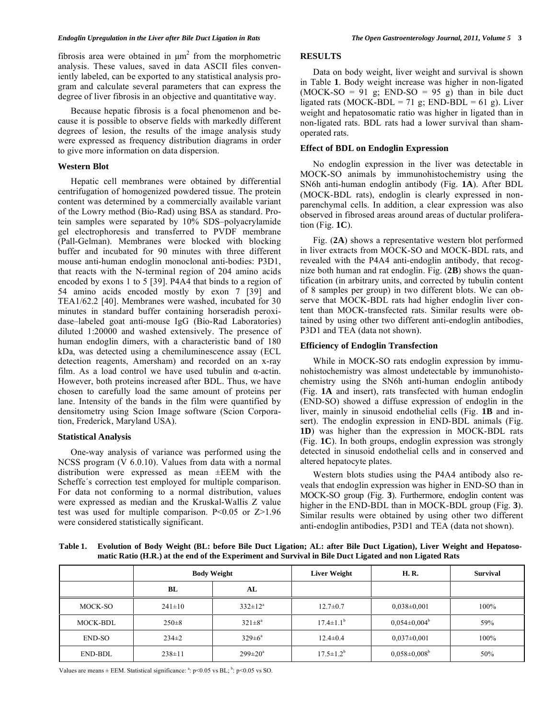fibrosis area were obtained in  $\mu$ m<sup>2</sup> from the morphometric analysis. These values, saved in data ASCII files conveniently labeled, can be exported to any statistical analysis program and calculate several parameters that can express the degree of liver fibrosis in an objective and quantitative way.

 Because hepatic fibrosis is a focal phenomenon and because it is possible to observe fields with markedly different degrees of lesion, the results of the image analysis study were expressed as frequency distribution diagrams in order to give more information on data dispersion.

# **Western Blot**

 Hepatic cell membranes were obtained by differential centrifugation of homogenized powdered tissue. The protein content was determined by a commercially available variant of the Lowry method (Bio-Rad) using BSA as standard. Protein samples were separated by 10% SDS–polyacrylamide gel electrophoresis and transferred to PVDF membrane (Pall-Gelman). Membranes were blocked with blocking buffer and incubated for 90 minutes with three different mouse anti-human endoglin monoclonal anti-bodies: P3D1, that reacts with the N-terminal region of 204 amino acids encoded by exons 1 to 5 [39]. P4A4 that binds to a region of 54 amino acids encoded mostly by exon 7 [39] and TEA1/62.2 [40]. Membranes were washed, incubated for 30 minutes in standard buffer containing horseradish peroxidase–labeled goat anti-mouse IgG (Bio-Rad Laboratories) diluted 1:20000 and washed extensively. The presence of human endoglin dimers, with a characteristic band of 180 kDa, was detected using a chemiluminescence assay (ECL detection reagents, Amersham) and recorded on an x-ray film. As a load control we have used tubulin and  $\alpha$ -actin. However, both proteins increased after BDL. Thus, we have chosen to carefully load the same amount of proteins per lane. Intensity of the bands in the film were quantified by densitometry using Scion Image software (Scion Corporation, Frederick, Maryland USA).

# **Statistical Analysis**

 One-way analysis of variance was performed using the NCSS program (V 6.0.10). Values from data with a normal distribution were expressed as mean ±EEM with the Scheffe´s correction test employed for multiple comparison. For data not conforming to a normal distribution, values were expressed as median and the Kruskal-Wallis Z value test was used for multiple comparison. P<0.05 or Z>1.96 were considered statistically significant.

# **RESULTS**

 Data on body weight, liver weight and survival is shown in Table **1**. Body weight increase was higher in non-ligated  $(MOCK-SO = 91$  g;  $END-SO = 95$  g) than in bile duct ligated rats (MOCK-BDL = 71 g; END-BDL = 61 g). Liver weight and hepatosomatic ratio was higher in ligated than in non-ligated rats. BDL rats had a lower survival than shamoperated rats.

# **Effect of BDL on Endoglin Expression**

 No endoglin expression in the liver was detectable in MOCK-SO animals by immunohistochemistry using the SN6h anti-human endoglin antibody (Fig. **1A**). After BDL (MOCK-BDL rats), endoglin is clearly expressed in nonparenchymal cells. In addition, a clear expression was also observed in fibrosed areas around areas of ductular proliferation (Fig. **1C**).

 Fig. (**2A**) shows a representative western blot performed in liver extracts from MOCK-SO and MOCK-BDL rats, and revealed with the P4A4 anti-endoglin antibody, that recognize both human and rat endoglin. Fig. (**2B**) shows the quantification (in arbitrary units, and corrected by tubulin content of 8 samples per group) in two different blots. We can observe that MOCK-BDL rats had higher endoglin liver content than MOCK-transfected rats. Similar results were obtained by using other two different anti-endoglin antibodies, P3D1 and TEA (data not shown).

## **Efficiency of Endoglin Transfection**

 While in MOCK-SO rats endoglin expression by immunohistochemistry was almost undetectable by immunohistochemistry using the SN6h anti-human endoglin antibody (Fig. **1A** and insert), rats transfected with human endoglin (END-SO) showed a diffuse expression of endoglin in the liver, mainly in sinusoid endothelial cells (Fig. **1B** and insert). The endoglin expression in END-BDL animals (Fig. **1D**) was higher than the expression in MOCK-BDL rats (Fig. **1C**). In both groups, endoglin expression was strongly detected in sinusoid endothelial cells and in conserved and altered hepatocyte plates.

 Western blots studies using the P4A4 antibody also reveals that endoglin expression was higher in END-SO than in MOCK-SO group (Fig. **3**). Furthermore, endoglin content was higher in the END-BDL than in MOCK-BDL group (Fig. **3**). Similar results were obtained by using other two different anti-endoglin antibodies, P3D1 and TEA (data not shown).

**Table 1. Evolution of Body Weight (BL: before Bile Duct Ligation; AL: after Bile Duct Ligation), Liver Weight and Hepatosomatic Ratio (H.R.) at the end of the Experiment and Survival in Bile Duct Ligated and non Ligated Rats** 

|          | <b>Body Weight</b> |                      | Liver Weight           | H.R.                           | <b>Survival</b> |
|----------|--------------------|----------------------|------------------------|--------------------------------|-----------------|
|          | BL                 | AL                   |                        |                                |                 |
| MOCK-SO  | $241 \pm 10$       | $332 \pm 12^a$       | $12.7 \pm 0.7$         | $0.038 \pm 0.001$              | 100%            |
| MOCK-BDL | $250 \pm 8$        | $321 \pm 8^a$        | $17.4 \pm 1.1^{\rm b}$ | $0.054 \pm 0.004^b$            | 59%             |
| END-SO   | $234\pm2$          | $329 \pm 6^{\circ}$  | $12.4 \pm 0.4$         | $0.037 \pm 0.001$              | 100%            |
| END-BDL  | $238 \pm 11$       | $299 \pm 20^{\circ}$ | $17.5 \pm 1.2^b$       | $0,058 \pm 0,008$ <sup>b</sup> | 50%             |

Values are means  $\pm$  EEM. Statistical significance:  $a$ :  $p$ <0.05 vs BL;  $b$ :  $p$ <0.05 vs SO.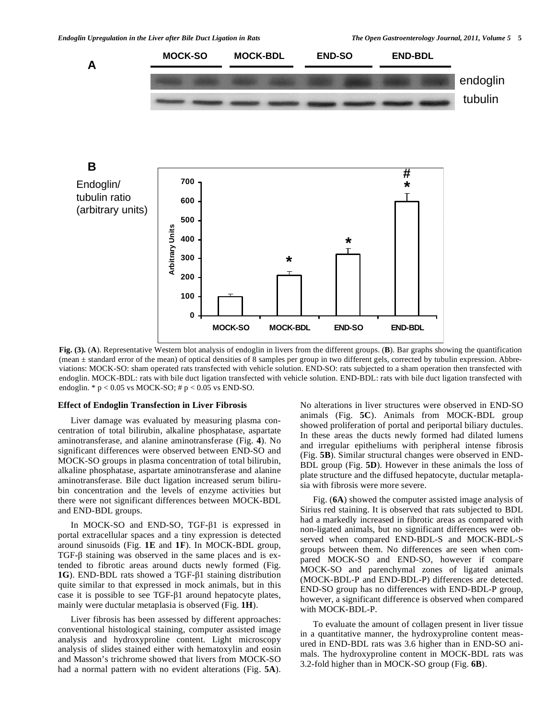

**Fig. (3).** (**A**). Representative Western blot analysis of endoglin in livers from the different groups. (**B**). Bar graphs showing the quantification (mean ± standard error of the mean) of optical densities of 8 samples per group in two different gels, corrected by tubulin expression. Abbreviations: MOCK-SO: sham operated rats transfected with vehicle solution. END-SO: rats subjected to a sham operation then transfected with endoglin. MOCK-BDL: rats with bile duct ligation transfected with vehicle solution. END-BDL: rats with bile duct ligation transfected with endoglin.  $* p < 0.05$  vs MOCK-SO;  $# p < 0.05$  vs END-SO.

**MOCK-SO MOCK-BDL END-SO END-BDL**

#### **Effect of Endoglin Transfection in Liver Fibrosis**

 Liver damage was evaluated by measuring plasma concentration of total bilirubin, alkaline phosphatase, aspartate aminotransferase, and alanine aminotransferase (Fig. **4**). No significant differences were observed between END-SO and MOCK-SO groups in plasma concentration of total bilirubin, alkaline phosphatase, aspartate aminotransferase and alanine aminotransferase. Bile duct ligation increased serum bilirubin concentration and the levels of enzyme activities but there were not significant differences between MOCK-BDL and END-BDL groups.

**0**

In MOCK-SO and END-SO, TGF- $\beta$ 1 is expressed in portal extracellular spaces and a tiny expression is detected around sinusoids (Fig. **1E** and **1F**). In MOCK-BDL group,  $TGF-\beta$  staining was observed in the same places and is extended to fibrotic areas around ducts newly formed (Fig. **1G**). END-BDL rats showed a TGF- $\beta$ 1 staining distribution quite similar to that expressed in mock animals, but in this case it is possible to see TGF- $\beta$ 1 around hepatocyte plates, mainly were ductular metaplasia is observed (Fig. **1H**).

 Liver fibrosis has been assessed by different approaches: conventional histological staining, computer assisted image analysis and hydroxyproline content. Light microscopy analysis of slides stained either with hematoxylin and eosin and Masson's trichrome showed that livers from MOCK-SO had a normal pattern with no evident alterations (Fig. **5A**). No alterations in liver structures were observed in END-SO animals (Fig. **5C**). Animals from MOCK-BDL group showed proliferation of portal and periportal biliary ductules. In these areas the ducts newly formed had dilated lumens and irregular epitheliums with peripheral intense fibrosis (Fig. **5B**). Similar structural changes were observed in END-BDL group (Fig. **5D**). However in these animals the loss of plate structure and the diffused hepatocyte, ductular metaplasia with fibrosis were more severe.

 Fig. (**6A**) showed the computer assisted image analysis of Sirius red staining. It is observed that rats subjected to BDL had a markedly increased in fibrotic areas as compared with non-ligated animals, but no significant differences were observed when compared END-BDL-S and MOCK-BDL-S groups between them. No differences are seen when compared MOCK-SO and END-SO, however if compare MOCK-SO and parenchymal zones of ligated animals (MOCK-BDL-P and END-BDL-P) differences are detected. END-SO group has no differences with END-BDL-P group, however, a significant difference is observed when compared with MOCK-BDL-P.

 To evaluate the amount of collagen present in liver tissue in a quantitative manner, the hydroxyproline content measured in END-BDL rats was 3.6 higher than in END-SO animals. The hydroxyproline content in MOCK-BDL rats was 3.2-fold higher than in MOCK-SO group (Fig. **6B**).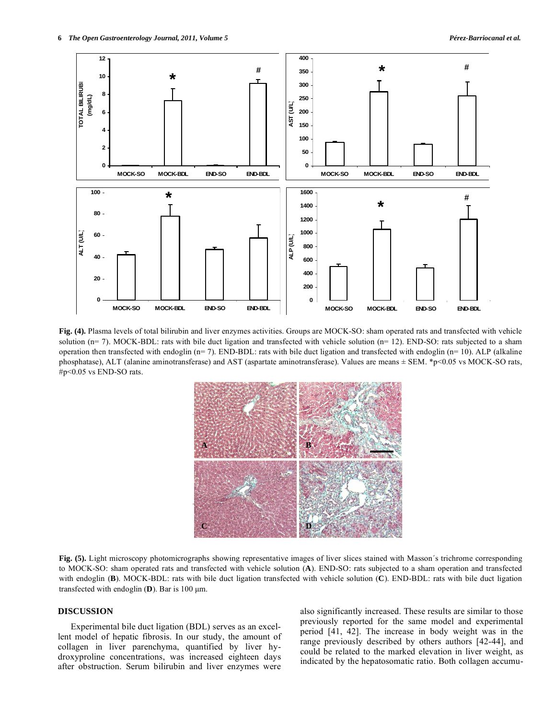

**Fig. (4).** Plasma levels of total bilirubin and liver enzymes activities. Groups are MOCK-SO: sham operated rats and transfected with vehicle solution ( $n= 7$ ). MOCK-BDL: rats with bile duct ligation and transfected with vehicle solution ( $n= 12$ ). END-SO: rats subjected to a sham operation then transfected with endoglin  $(n= 7)$ . END-BDL: rats with bile duct ligation and transfected with endoglin  $(n= 10)$ . ALP (alkaline phosphatase), ALT (alanine aminotransferase) and AST (aspartate aminotransferase). Values are means  $\pm$  SEM. \*p<0.05 vs MOCK-SO rats, #p<0.05 vs END-SO rats.



Fig. (5). Light microscopy photomicrographs showing representative images of liver slices stained with Masson's trichrome corresponding to MOCK-SO: sham operated rats and transfected with vehicle solution (**A**). END-SO: rats subjected to a sham operation and transfected with endoglin (**B**). MOCK-BDL: rats with bile duct ligation transfected with vehicle solution (**C**). END-BDL: rats with bile duct ligation transfected with endoglin (**D**). Bar is 100 μm.

#### **DISCUSSION**

 Experimental bile duct ligation (BDL) serves as an excellent model of hepatic fibrosis. In our study, the amount of collagen in liver parenchyma, quantified by liver hydroxyproline concentrations, was increased eighteen days after obstruction. Serum bilirubin and liver enzymes were

also significantly increased. These results are similar to those previously reported for the same model and experimental period [41, 42]. The increase in body weight was in the range previously described by others authors [42-44], and could be related to the marked elevation in liver weight, as indicated by the hepatosomatic ratio. Both collagen accumu-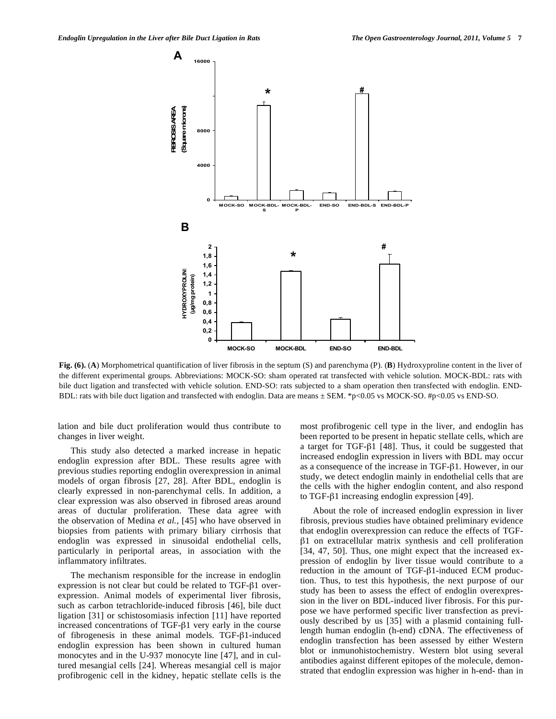

**Fig. (6).** (**A**) Morphometrical quantification of liver fibrosis in the septum (S) and parenchyma (P). (**B**) Hydroxyproline content in the liver of the different experimental groups. Abbreviations: MOCK-SO: sham operated rat transfected with vehicle solution. MOCK-BDL: rats with bile duct ligation and transfected with vehicle solution. END-SO: rats subjected to a sham operation then transfected with endoglin. END-BDL: rats with bile duct ligation and transfected with endoglin. Data are means  $\pm$  SEM. \*p<0.05 vs MOCK-SO. #p<0.05 vs END-SO.

lation and bile duct proliferation would thus contribute to changes in liver weight.

 This study also detected a marked increase in hepatic endoglin expression after BDL. These results agree with previous studies reporting endoglin overexpression in animal models of organ fibrosis [27, 28]. After BDL, endoglin is clearly expressed in non-parenchymal cells. In addition, a clear expression was also observed in fibrosed areas around areas of ductular proliferation. These data agree with the observation of Medina *et al.*, [45] who have observed in biopsies from patients with primary biliary cirrhosis that endoglin was expressed in sinusoidal endothelial cells, particularly in periportal areas, in association with the inflammatory infiltrates.

 The mechanism responsible for the increase in endoglin expression is not clear but could be related to  $TGF- $\beta$ 1 over$ expression. Animal models of experimental liver fibrosis, such as carbon tetrachloride-induced fibrosis [46], bile duct ligation [31] or schistosomiasis infection [11] have reported increased concentrations of  $TGF- $\beta$ 1 very early in the course$ of fibrogenesis in these animal models. TGF- $\beta$ 1-induced endoglin expression has been shown in cultured human monocytes and in the U-937 monocyte line [47], and in cultured mesangial cells [24]. Whereas mesangial cell is major profibrogenic cell in the kidney, hepatic stellate cells is the

most profibrogenic cell type in the liver, and endoglin has been reported to be present in hepatic stellate cells, which are a target for TGF- $\beta$ 1 [48]. Thus, it could be suggested that increased endoglin expression in livers with BDL may occur as a consequence of the increase in  $TGF- $\beta$ 1. However, in our$ study, we detect endoglin mainly in endothelial cells that are the cells with the higher endoglin content, and also respond to TGF- $\beta$ 1 increasing endoglin expression [49].

 About the role of increased endoglin expression in liver fibrosis, previous studies have obtained preliminary evidence that endoglin overexpression can reduce the effects of TGF-  $\beta$ 1 on extracellular matrix synthesis and cell proliferation [34, 47, 50]. Thus, one might expect that the increased expression of endoglin by liver tissue would contribute to a reduction in the amount of TGF- $\beta$ 1-induced ECM production. Thus, to test this hypothesis, the next purpose of our study has been to assess the effect of endoglin overexpression in the liver on BDL-induced liver fibrosis. For this purpose we have performed specific liver transfection as previously described by us [35] with a plasmid containing fulllength human endoglin (h-end) cDNA. The effectiveness of endoglin transfection has been assessed by either Western blot or inmunohistochemistry. Western blot using several antibodies against different epitopes of the molecule, demonstrated that endoglin expression was higher in h-end- than in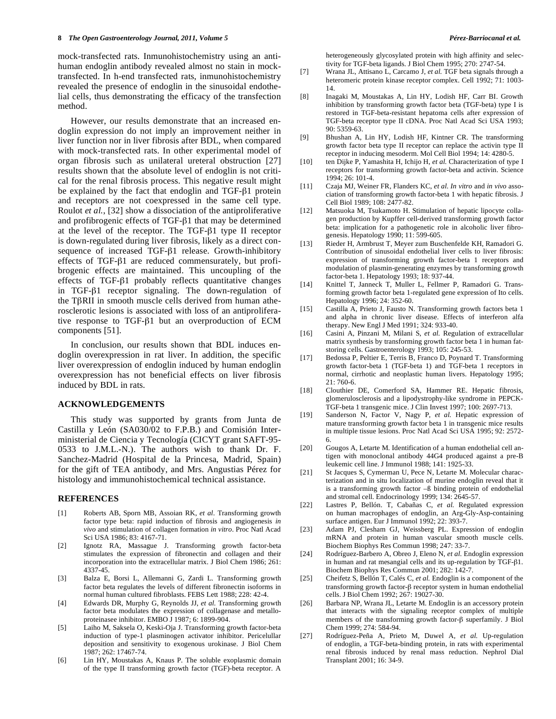mock-transfected rats. Inmunohistochemistry using an antihuman endoglin antibody revealed almost no stain in mocktransfected. In h-end transfected rats, inmunohistochemistry revealed the presence of endoglin in the sinusoidal endothelial cells, thus demonstrating the efficacy of the transfection method.

 However, our results demonstrate that an increased endoglin expression do not imply an improvement neither in liver function nor in liver fibrosis after BDL, when compared with mock-transfected rats. In other experimental model of organ fibrosis such as unilateral ureteral obstruction [27] results shown that the absolute level of endoglin is not critical for the renal fibrosis process. This negative result might be explained by the fact that endoglin and TGF- $\beta$ 1 protein and receptors are not coexpressed in the same cell type. Roulot *et al.*, [32] show a dissociation of the antiproliferative and profibrogenic effects of TGF- $\beta$ 1 that may be determined at the level of the receptor. The TGF- $\beta$ 1 type II receptor is down-regulated during liver fibrosis, likely as a direct consequence of increased TGF- $\beta$ 1 release. Growth-inhibitory effects of TGF- $\beta$ 1 are reduced commensurately, but profibrogenic effects are maintained. This uncoupling of the effects of TGF- $\beta$ 1 probably reflects quantitative changes in TGF- $\beta$ 1 receptor signaling. The down-regulation of the T $\beta$ RII in smooth muscle cells derived from human atherosclerotic lesions is associated with loss of an antiproliferative response to TGF- $\beta$ 1 but an overproduction of ECM components [51].

 In conclusion, our results shown that BDL induces endoglin overexpression in rat liver. In addition, the specific liver overexpression of endoglin induced by human endoglin overexpression has not beneficial effects on liver fibrosis induced by BDL in rats.

#### **ACKNOWLEDGEMENTS**

 This study was supported by grants from Junta de Castilla y León (SA030/02 to F.P.B.) and Comisión Interministerial de Ciencia y Tecnología (CICYT grant SAFT-95- 0533 to J.M.L.-N.). The authors wish to thank Dr. F. Sanchez-Madrid (Hospital de la Princesa, Madrid, Spain) for the gift of TEA antibody, and Mrs. Angustias Pérez for histology and immunohistochemical technical assistance.

#### **REFERENCES**

- [1] Roberts AB, Sporn MB, Assoian RK, *et al.* Transforming growth factor type beta: rapid induction of fibrosis and angiogenesis *in vivo* and stimulation of collagen formation *in vitro*. Proc Natl Acad Sci USA 1986; 83: 4167-71.
- [2] Ignotz RA, Massague J. Transforming growth factor-beta stimulates the expression of fibronectin and collagen and their incorporation into the extracellular matrix. J Biol Chem 1986; 261: 4337-45.
- [3] Balza E, Borsi L, Allemanni G, Zardi L. Transforming growth factor beta regulates the levels of different fibronectin isoforms in normal human cultured fibroblasts. FEBS Lett 1988; 228: 42-4.
- [4] Edwards DR, Murphy G, Reynolds JJ, *et al.* Transforming growth factor beta modulates the expression of collagenase and metalloproteinasee inhibitor. EMBO J 1987; 6: 1899-904.
- [5] Laiho M, Saksela O, Keski-Oja J. Transforming growth factor-beta induction of type-1 plasminogen activator inhibitor. Pericelullar deposition and sensitivity to exogenous urokinase. J Biol Chem 1987; 262: 17467-74.
- [6] Lin HY, Moustakas A, Knaus P. The soluble exoplasmic domain of the type II transforming growth factor (TGF)-beta receptor. A

heterogeneously glycosylated protein with high affinity and selectivity for TGF-beta ligands. J Biol Chem 1995; 270: 2747-54.

- [7] Wrana JL, Attisano L, Carcamo J, *et al.* TGF beta signals through a heteromeric protein kinase receptor complex. Cell 1992; 71: 1003- 14.
- [8] Inagaki M, Moustakas A, Lin HY, Lodish HF, Carr BI. Growth inhibition by transforming growth factor beta (TGF-beta) type I is restored in TGF-beta-resistant hepatoma cells after expression of TGF-beta receptor type II cDNA. Proc Natl Acad Sci USA 1993; 90: 5359-63.
- [9] Bhushan A, Lin HY, Lodish HF, Kintner CR. The transforming growth factor beta type II receptor can replace the activin type II receptor in inducing mesoderm. Mol Cell Biol 1994; 14: 4280-5.
- [10] ten Dijke P, Yamashita H, Ichijo H, *et al.* Characterization of type I receptors for transforming growth factor-beta and activin. Science  $1994 \cdot 26 \cdot 101 - 4$
- [11] Czaja MJ, Weiner FR, Flanders KC, *et al. In vitro* and *in vivo* association of transforming growth factor-beta 1 with hepatic fibrosis. J Cell Biol 1989; 108: 2477-82.
- [12] Matsuoka M, Tsukamoto H. Stimulation of hepatic lipocyte collagen production by Kupffer cell-derived transforming growth factor beta: implication for a pathogenetic role in alcoholic liver fibrogenesis. Hepatology 1990; 11: 599-605.
- [13] Rieder H, Armbrust T, Meyer zum Buschenfelde KH, Ramadori G. Contribution of sinusoidal endothelial liver cells to liver fibrosis: expression of transforming growth factor-beta 1 receptors and modulation of plasmin-generating enzymes by transforming growth factor-beta 1. Hepatology 1993; 18: 937-44.
- [14] Knittel T, Janneck T, Muller L, Fellmer P, Ramadori G. Transforming growth factor beta 1-regulated gene expression of Ito cells. Hepatology 1996; 24: 352-60.
- [15] Castilla A, Prieto J, Fausto N. Transforming growth factors beta 1 and alpha in chronic liver disease. Effects of interferon alfa therapy. New Engl J Med 1991; 324: 933-40.
- [16] Casini A, Pinzani M, Milani S, *et al.* Regulation of extracellular matrix synthesis by transforming growth factor beta 1 in human fatstoring cells. Gastroenterology 1993; 105: 245-53.
- [17] Bedossa P, Peltier E, Terris B, Franco D, Poynard T. Transforming growth factor-beta 1 (TGF-beta 1) and TGF-beta 1 receptors in normal, cirrhotic and neoplastic human livers. Hepatology 1995; 21: 760-6.
- [18] Clouthier DE, Comerford SA, Hammer RE. Hepatic fibrosis, glomerulosclerosis and a lipodystrophy-like syndrome in PEPCK-TGF-beta 1 transgenic mice. J Clin Invest 1997; 100: 2697-713.
- [19] Sanderson N, Factor V, Nagy P, *et al.* Hepatic expression of mature transforming growth factor beta 1 in transgenic mice results in multiple tissue lesions. Proc Natl Acad Sci USA 1995; 92: 2572- 6.
- [20] Gougos A, Letarte M. Identification of a human endothelial cell antigen with monoclonal antibody 44G4 produced against a pre-B leukemic cell line. J Immunol 1988; 141: 1925-33.
- [21] St Jacques S, Cymerman U, Pece N, Letarte M. Molecular characterization and in situ localization of murine endoglin reveal that it is a transforming growth factor –ß binding protein of endothelial and stromal cell. Endocrinology 1999; 134: 2645-57.
- [22] Lastres P, Bellón. T, Cabañas C, *et al.* Regulated expression on human macrophages of endoglin, an Arg-Gly-Asp-containing surface antigen. Eur J Immunol 1992; 22: 393-7.
- [23] Adam PJ, Clesham GJ, Weissberg PL. Expression of endoglin mRNA and protein in human vascular smooth muscle cells. Biochem Biophys Res Commun 1998; 247: 33-7.
- [24] Rodríguez-Barbero A, Obreo J, Eleno N, *et al.* Endoglin expression in human and rat mesangial cells and its up-regulation by TGF- $\beta$ 1. Biochem Biophys Res Commun 2001; 282: 142-7.
- [25] Cheifetz S, Bellón T, Calés C, *et al.* Endoglin is a component of the transforming growth factor- $\beta$  receptor system in human endothelial cells. J Biol Chem 1992; 267: 19027-30.
- [26] Barbara NP, Wrana JL, Letarte M. Endoglin is an accessory protein that interacts with the signaling receptor complex of multiple members of the transforming growth factor- $\beta$  superfamily. J Biol Chem 1999; 274: 584-94.
- [27] Rodríguez-Peña A, Prieto M, Duwel A, *et al.* Up-regulation of endoglin, a TGF-beta-binding protein, in rats with experimental renal fibrosis induced by renal mass reduction. Nephrol Dial Transplant 2001; 16: 34-9.